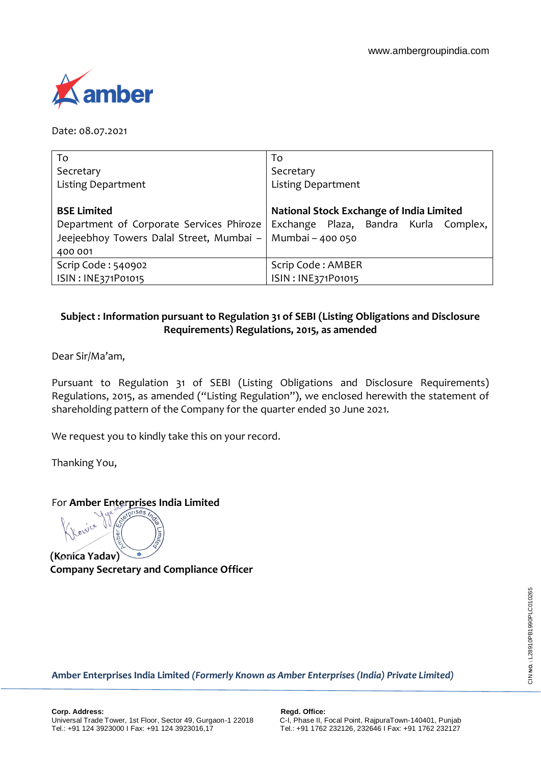

Date: 08.07.2021

| To                                                          | To                                       |  |  |  |  |  |
|-------------------------------------------------------------|------------------------------------------|--|--|--|--|--|
| Secretary                                                   | Secretary                                |  |  |  |  |  |
| <b>Listing Department</b>                                   | <b>Listing Department</b>                |  |  |  |  |  |
|                                                             |                                          |  |  |  |  |  |
| <b>BSE Limited</b>                                          | National Stock Exchange of India Limited |  |  |  |  |  |
| Department of Corporate Services Phiroze                    | Exchange Plaza, Bandra Kurla Complex,    |  |  |  |  |  |
| Jeejeebhoy Towers Dalal Street, Mumbai –   Mumbai – 400 050 |                                          |  |  |  |  |  |
| 400 001                                                     |                                          |  |  |  |  |  |
| Scrip Code: 540902                                          | Scrip Code: AMBER                        |  |  |  |  |  |
| ISIN: INE371P01015                                          | ISIN: INE371P01015                       |  |  |  |  |  |

# **Subject : Information pursuant to Regulation 31 of SEBI (Listing Obligations and Disclosure Requirements) Regulations, 2015, as amended**

Dear Sir/Ma'am,

Pursuant to Regulation 31 of SEBI (Listing Obligations and Disclosure Requirements) Regulations, 2015, as amended ("Listing Regulation"), we enclosed herewith the statement of shareholding pattern of the Company for the quarter ended 30 June 2021.

We request you to kindly take this on your record.

Thanking You,

niva

For **Amber Enterprises India Limited**

**(Konica Yadav) Company Secretary and Compliance Officer**

**Amber Enterprises India Limited** *(Formerly Known as Amber Enterprises (India) Private Limited)*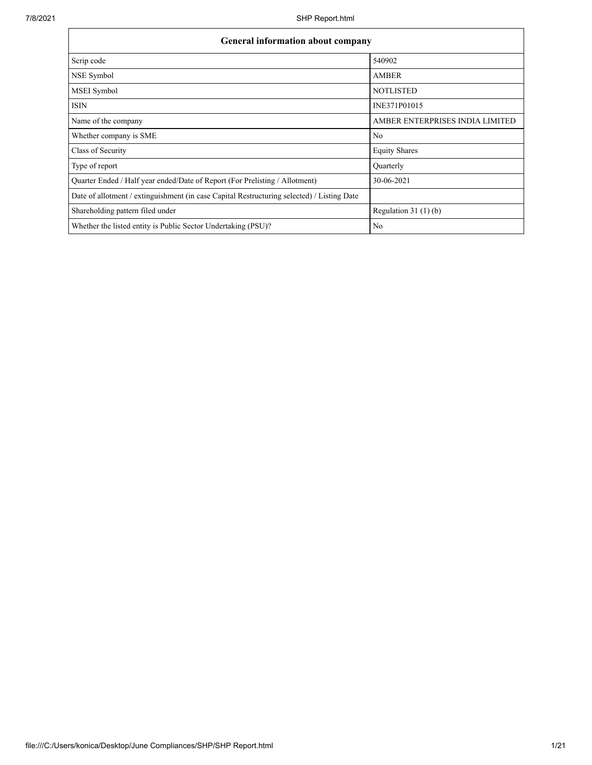| <b>General information about company</b>                                                   |                                 |
|--------------------------------------------------------------------------------------------|---------------------------------|
| Scrip code                                                                                 | 540902                          |
| NSE Symbol                                                                                 | <b>AMBER</b>                    |
| MSEI Symbol                                                                                | <b>NOTLISTED</b>                |
| <b>ISIN</b>                                                                                | INE371P01015                    |
| Name of the company                                                                        | AMBER ENTERPRISES INDIA LIMITED |
| Whether company is SME                                                                     | No                              |
| Class of Security                                                                          | <b>Equity Shares</b>            |
| Type of report                                                                             | Quarterly                       |
| Quarter Ended / Half year ended/Date of Report (For Prelisting / Allotment)                | 30-06-2021                      |
| Date of allotment / extinguishment (in case Capital Restructuring selected) / Listing Date |                                 |
| Shareholding pattern filed under                                                           | Regulation $31(1)(b)$           |
| Whether the listed entity is Public Sector Undertaking (PSU)?                              | No                              |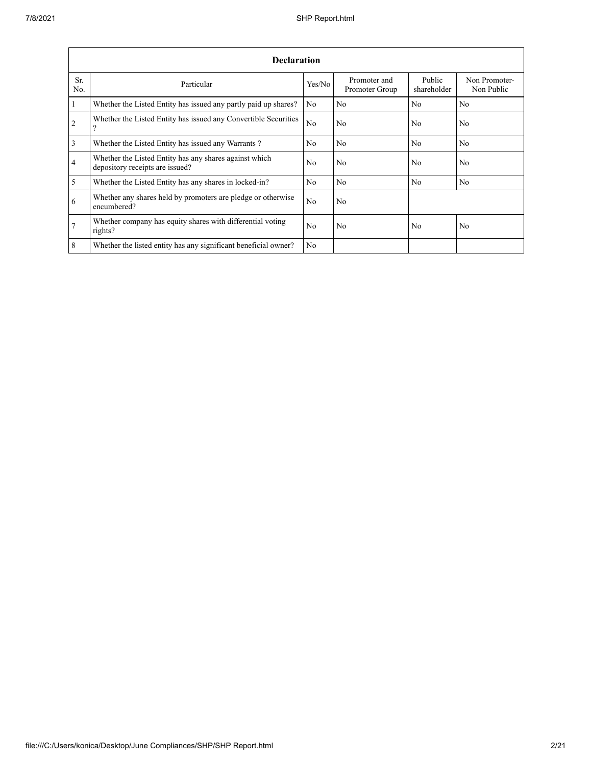|                         | <b>Declaration</b>                                                                        |        |                                |                       |                             |
|-------------------------|-------------------------------------------------------------------------------------------|--------|--------------------------------|-----------------------|-----------------------------|
| Sr.<br>No.              | Particular                                                                                | Yes/No | Promoter and<br>Promoter Group | Public<br>shareholder | Non Promoter-<br>Non Public |
| $\overline{1}$          | Whether the Listed Entity has issued any partly paid up shares?                           | No     | No                             | No                    | N <sub>o</sub>              |
| $\overline{2}$          | Whether the Listed Entity has issued any Convertible Securities<br>$\Omega$               | No     | No                             | No                    | No                          |
| $\overline{3}$          | Whether the Listed Entity has issued any Warrants?                                        | No     | No                             | N <sub>0</sub>        | N <sub>o</sub>              |
| $\overline{4}$          | Whether the Listed Entity has any shares against which<br>depository receipts are issued? | No     | No                             | No                    | No                          |
| $\overline{\mathbf{5}}$ | Whether the Listed Entity has any shares in locked-in?                                    | No     | No                             | No                    | No                          |
| 6                       | Whether any shares held by promoters are pledge or otherwise<br>encumbered?               | No     | No                             |                       |                             |
| $7\overline{ }$         | Whether company has equity shares with differential voting<br>rights?                     | No     | No                             | No                    | No                          |
| 8                       | Whether the listed entity has any significant beneficial owner?                           | No     |                                |                       |                             |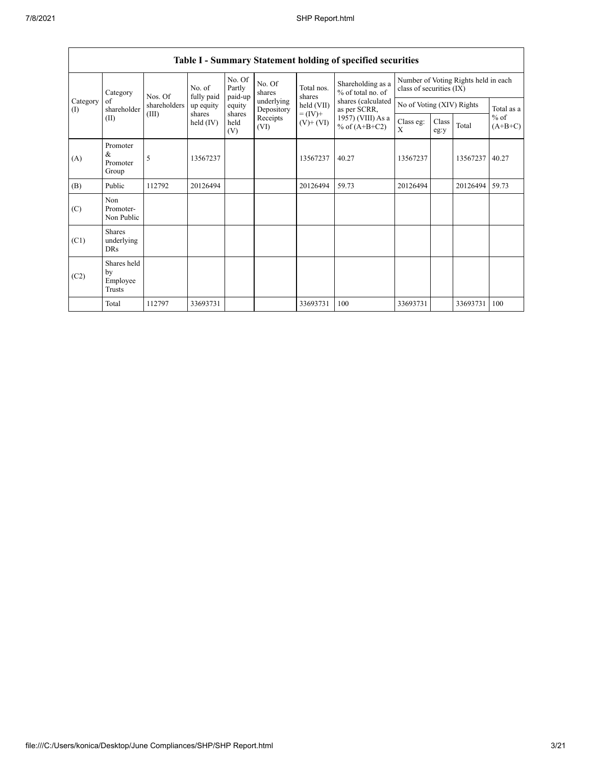|                 | Category                                | Nos. Of      | No. of<br>fully paid | No. Of<br>Partly<br>paid-up | No. Of<br>shares         | Total nos.<br>shares         | Shareholding as a<br>% of total no. of | Number of Voting Rights held in each<br>class of securities (IX) |               |          |                                   |  |
|-----------------|-----------------------------------------|--------------|----------------------|-----------------------------|--------------------------|------------------------------|----------------------------------------|------------------------------------------------------------------|---------------|----------|-----------------------------------|--|
| Category<br>(I) | of<br>shareholder                       | shareholders | up equity            | equity                      | underlying<br>Depository | held (VII)                   | shares (calculated<br>as per SCRR,     | No of Voting (XIV) Rights                                        |               |          | Total as a<br>$%$ of<br>$(A+B+C)$ |  |
|                 | (II)                                    | (III)        | shares<br>held (IV)  | shares<br>held<br>(V)       | Receipts<br>(VI)         | $= (IV) +$<br>$(V)$ + $(VI)$ | 1957) (VIII) As a<br>% of $(A+B+C2)$   | Class eg:<br>X                                                   | Class<br>eg:y | Total    |                                   |  |
| (A)             | Promoter<br>&<br>Promoter<br>Group      | 5            | 13567237             |                             |                          | 13567237                     | 40.27                                  | 13567237                                                         |               | 13567237 | 40.27                             |  |
| (B)             | Public                                  | 112792       | 20126494             |                             |                          | 20126494                     | 59.73                                  | 20126494                                                         |               | 20126494 | 59.73                             |  |
| (C)             | Non<br>Promoter-<br>Non Public          |              |                      |                             |                          |                              |                                        |                                                                  |               |          |                                   |  |
| (C1)            | <b>Shares</b><br>underlying<br>DRs      |              |                      |                             |                          |                              |                                        |                                                                  |               |          |                                   |  |
| (C2)            | Shares held<br>by<br>Employee<br>Trusts |              |                      |                             |                          |                              |                                        |                                                                  |               |          |                                   |  |
|                 | Total                                   | 112797       | 33693731             |                             |                          | 33693731                     | 100                                    | 33693731                                                         |               | 33693731 | 100                               |  |

# **Table I - Summary Statement holding of specified securities**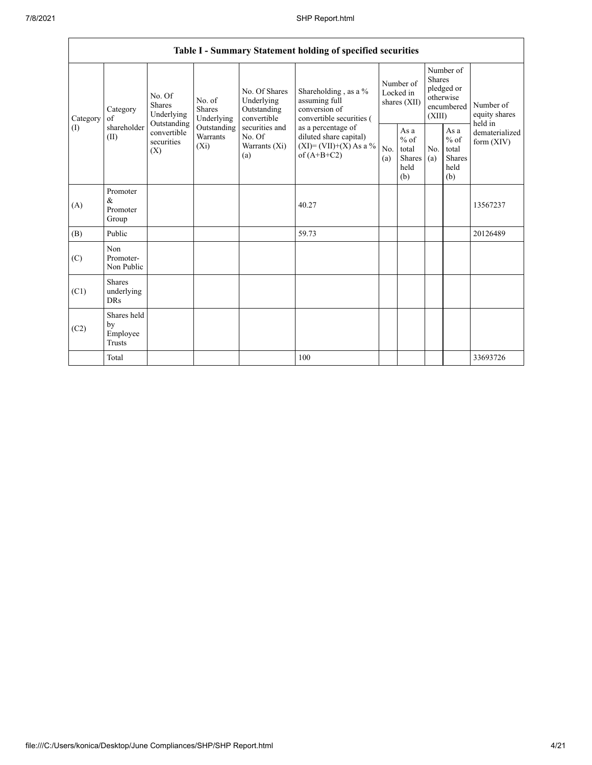|                               |                                           |                                                                                          |                                                                             |                                                                                                               | Table I - Summary Statement holding of specified securities                                |                                        |                                                         |                                                                               |                                                         |                                       |
|-------------------------------|-------------------------------------------|------------------------------------------------------------------------------------------|-----------------------------------------------------------------------------|---------------------------------------------------------------------------------------------------------------|--------------------------------------------------------------------------------------------|----------------------------------------|---------------------------------------------------------|-------------------------------------------------------------------------------|---------------------------------------------------------|---------------------------------------|
| of<br>Category<br>(1)<br>(II) | Category                                  | No. Of<br><b>Shares</b><br>Underlying<br>Outstanding<br>convertible<br>securities<br>(X) | No. of<br><b>Shares</b><br>Underlying<br>Outstanding<br>Warrants<br>$(X_i)$ | No. Of Shares<br>Underlying<br>Outstanding<br>convertible<br>securities and<br>No. Of<br>Warrants (Xi)<br>(a) | Shareholding , as a $\%$<br>assuming full<br>conversion of<br>convertible securities (     | Number of<br>Locked in<br>shares (XII) |                                                         | Number of<br><b>Shares</b><br>pledged or<br>otherwise<br>encumbered<br>(XIII) |                                                         | Number of<br>equity shares<br>held in |
|                               | shareholder                               |                                                                                          |                                                                             |                                                                                                               | as a percentage of<br>diluted share capital)<br>$(XI) = (VII)+(X) As a %$<br>of $(A+B+C2)$ | No.<br>(a)                             | As a<br>$%$ of<br>total<br><b>Shares</b><br>held<br>(b) | No.<br>(a)                                                                    | As a<br>$%$ of<br>total<br><b>Shares</b><br>held<br>(b) | dematerialized<br>form (XIV)          |
| (A)                           | Promoter<br>&<br>Promoter<br>Group        |                                                                                          |                                                                             |                                                                                                               | 40.27                                                                                      |                                        |                                                         |                                                                               |                                                         | 13567237                              |
| (B)                           | Public                                    |                                                                                          |                                                                             |                                                                                                               | 59.73                                                                                      |                                        |                                                         |                                                                               |                                                         | 20126489                              |
| (C)                           | Non<br>Promoter-<br>Non Public            |                                                                                          |                                                                             |                                                                                                               |                                                                                            |                                        |                                                         |                                                                               |                                                         |                                       |
| (C1)                          | <b>Shares</b><br>underlying<br><b>DRs</b> |                                                                                          |                                                                             |                                                                                                               |                                                                                            |                                        |                                                         |                                                                               |                                                         |                                       |
| (C2)                          | Shares held<br>by<br>Employee<br>Trusts   |                                                                                          |                                                                             |                                                                                                               |                                                                                            |                                        |                                                         |                                                                               |                                                         |                                       |
|                               | Total                                     |                                                                                          |                                                                             |                                                                                                               | 100                                                                                        |                                        |                                                         |                                                                               |                                                         | 33693726                              |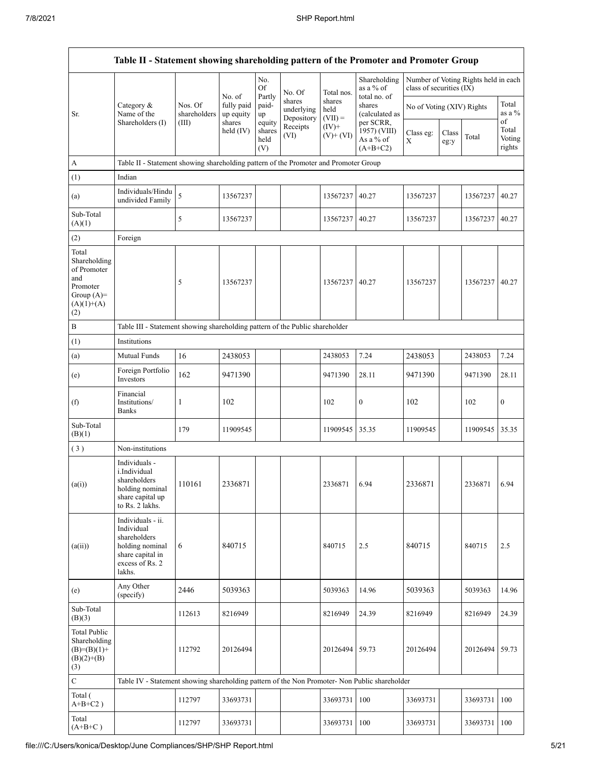|                                                                                                | Table II - Statement showing shareholding pattern of the Promoter and Promoter Group                                |                                                                              |                                             |                                 |                                    |                             |                                                       |                           |               |                                      |                           |  |  |
|------------------------------------------------------------------------------------------------|---------------------------------------------------------------------------------------------------------------------|------------------------------------------------------------------------------|---------------------------------------------|---------------------------------|------------------------------------|-----------------------------|-------------------------------------------------------|---------------------------|---------------|--------------------------------------|---------------------------|--|--|
|                                                                                                |                                                                                                                     |                                                                              |                                             | No.<br>Of                       | No. Of                             | Total nos.                  | Shareholding<br>as a % of                             | class of securities (IX)  |               | Number of Voting Rights held in each |                           |  |  |
| Sr.                                                                                            | Category &<br>Name of the<br>Shareholders (I)                                                                       | Nos. Of<br>shareholders<br>(III)                                             | No. of<br>fully paid<br>up equity<br>shares | Partly<br>paid-<br>up<br>equity | shares<br>underlying<br>Depository | shares<br>held<br>$(VII) =$ | total no. of<br>shares<br>(calculated as<br>per SCRR, | No of Voting (XIV) Rights |               |                                      | Total<br>as a %<br>of     |  |  |
|                                                                                                |                                                                                                                     |                                                                              | held (IV)                                   | shares<br>held<br>(V)           | Receipts<br>(VI)                   | $(IV)$ +<br>$(V)+(VI)$      | 1957) (VIII)<br>As a % of<br>$(A+B+C2)$               | Class eg:<br>X            | Class<br>eg:y | Total                                | Total<br>Voting<br>rights |  |  |
| A                                                                                              | Table II - Statement showing shareholding pattern of the Promoter and Promoter Group                                |                                                                              |                                             |                                 |                                    |                             |                                                       |                           |               |                                      |                           |  |  |
| (1)                                                                                            | Indian                                                                                                              |                                                                              |                                             |                                 |                                    |                             |                                                       |                           |               |                                      |                           |  |  |
| (a)                                                                                            | Individuals/Hindu<br>undivided Family                                                                               | 5                                                                            | 13567237                                    |                                 |                                    | 13567237                    | 40.27                                                 | 13567237                  |               | 13567237                             | 40.27                     |  |  |
| Sub-Total<br>(A)(1)                                                                            |                                                                                                                     | 5                                                                            | 13567237                                    |                                 |                                    | 13567237                    | 40.27                                                 | 13567237                  |               | 13567237 40.27                       |                           |  |  |
| (2)                                                                                            | Foreign                                                                                                             |                                                                              |                                             |                                 |                                    |                             |                                                       |                           |               |                                      |                           |  |  |
| Total<br>Shareholding<br>of Promoter<br>and<br>Promoter<br>Group $(A)=$<br>$(A)(1)+(A)$<br>(2) |                                                                                                                     | 5                                                                            | 13567237                                    |                                 |                                    | 13567237                    | 40.27                                                 | 13567237                  |               | 13567237                             | 40.27                     |  |  |
| $\, {\bf B}$                                                                                   |                                                                                                                     | Table III - Statement showing shareholding pattern of the Public shareholder |                                             |                                 |                                    |                             |                                                       |                           |               |                                      |                           |  |  |
| (1)                                                                                            | Institutions                                                                                                        |                                                                              |                                             |                                 |                                    |                             |                                                       |                           |               |                                      |                           |  |  |
| (a)                                                                                            | Mutual Funds                                                                                                        | 16                                                                           | 2438053                                     |                                 |                                    | 2438053                     | 7.24                                                  | 2438053                   |               | 2438053                              | 7.24                      |  |  |
| (e)                                                                                            | Foreign Portfolio<br>Investors                                                                                      | 162                                                                          | 9471390                                     |                                 |                                    | 9471390                     | 28.11                                                 | 9471390                   |               | 9471390                              | 28.11                     |  |  |
| (f)                                                                                            | Financial<br>Institutions/<br><b>Banks</b>                                                                          | 1                                                                            | 102                                         |                                 |                                    | 102                         | $\boldsymbol{0}$                                      | 102                       |               | 102                                  | $\boldsymbol{0}$          |  |  |
| Sub-Total<br>(B)(1)                                                                            |                                                                                                                     | 179                                                                          | 11909545                                    |                                 |                                    | 11909545                    | 35.35                                                 | 11909545                  |               | 11909545                             | 35.35                     |  |  |
| (3)                                                                                            | Non-institutions                                                                                                    |                                                                              |                                             |                                 |                                    |                             |                                                       |                           |               |                                      |                           |  |  |
| (a(i))                                                                                         | Individuals -<br>i.Individual<br>shareholders<br>holding nominal<br>share capital up<br>to Rs. 2 lakhs.             | 110161                                                                       | 2336871                                     |                                 |                                    | 2336871                     | 6.94                                                  | 2336871                   |               | 2336871                              | 6.94                      |  |  |
| (a(ii))                                                                                        | Individuals - ii.<br>Individual<br>shareholders<br>holding nominal<br>share capital in<br>excess of Rs. 2<br>lakhs. | 6                                                                            | 840715                                      |                                 |                                    | 840715                      | 2.5                                                   | 840715                    |               | 840715                               | 2.5                       |  |  |
| (e)                                                                                            | Any Other<br>(specify)                                                                                              | 2446                                                                         | 5039363                                     |                                 |                                    | 5039363                     | 14.96                                                 | 5039363                   |               | 5039363                              | 14.96                     |  |  |
| Sub-Total<br>(B)(3)                                                                            |                                                                                                                     | 112613                                                                       | 8216949                                     |                                 |                                    | 8216949                     | 24.39                                                 | 8216949                   |               | 8216949                              | 24.39                     |  |  |
| <b>Total Public</b><br>Shareholding<br>$(B)=(B)(1)+$<br>$(B)(2)+(B)$<br>(3)                    |                                                                                                                     | 112792                                                                       | 20126494                                    |                                 |                                    | 20126494                    | 59.73                                                 | 20126494                  |               | 20126494                             | 59.73                     |  |  |
| $\mathbf C$                                                                                    | Table IV - Statement showing shareholding pattern of the Non Promoter- Non Public shareholder                       |                                                                              |                                             |                                 |                                    |                             |                                                       |                           |               |                                      |                           |  |  |
| Total (<br>$A+B+C2$ )                                                                          |                                                                                                                     | 112797                                                                       | 33693731                                    |                                 |                                    | 33693731                    | 100                                                   | 33693731                  |               | 33693731                             | 100                       |  |  |
| Total<br>$(A+B+C)$                                                                             |                                                                                                                     | 112797                                                                       | 33693731                                    |                                 |                                    | 33693731                    | 100                                                   | 33693731                  |               | 33693731                             | 100                       |  |  |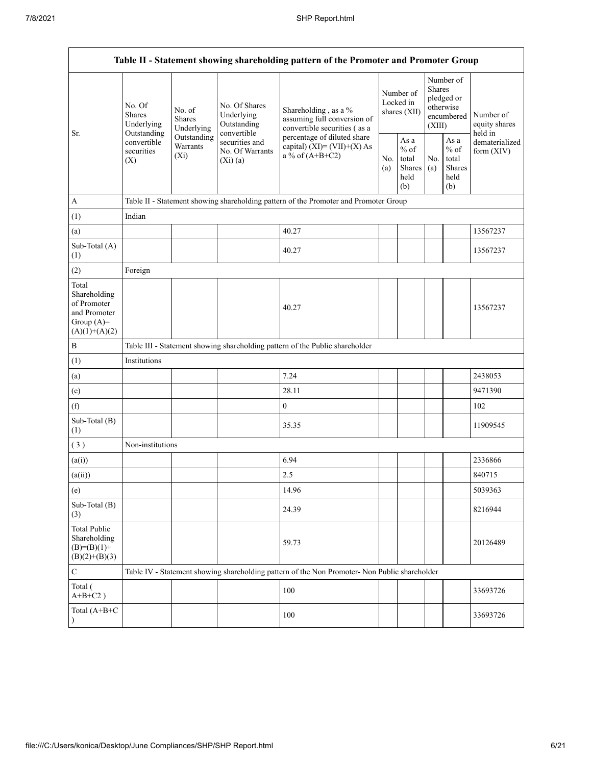|                                                                                         |                                                                                               |                                       |                                                           | Table II - Statement showing shareholding pattern of the Promoter and Promoter Group |            |                                                  |            |                                                                               |                                       |  |
|-----------------------------------------------------------------------------------------|-----------------------------------------------------------------------------------------------|---------------------------------------|-----------------------------------------------------------|--------------------------------------------------------------------------------------|------------|--------------------------------------------------|------------|-------------------------------------------------------------------------------|---------------------------------------|--|
| Sr.                                                                                     | No. Of<br><b>Shares</b><br>Underlying<br>Outstanding                                          | No. of<br><b>Shares</b><br>Underlying | No. Of Shares<br>Underlying<br>Outstanding<br>convertible | Shareholding, as a %<br>assuming full conversion of<br>convertible securities (as a  |            | Number of<br>Locked in<br>shares (XII)           |            | Number of<br><b>Shares</b><br>pledged or<br>otherwise<br>encumbered<br>(XIII) | Number of<br>equity shares<br>held in |  |
|                                                                                         | convertible<br>securities<br>(X)                                                              | Outstanding<br>Warrants<br>$(X_i)$    | securities and<br>No. Of Warrants<br>(Xi)(a)              | percentage of diluted share<br>capital) $(XI) = (VII)+(X) As$<br>a % of $(A+B+C2)$   | No.<br>(a) | As a<br>$%$ of<br>total<br>Shares<br>held<br>(b) | No.<br>(a) | As a<br>$%$ of<br>total<br>Shares<br>held<br>(b)                              | dematerialized<br>form $(XIV)$        |  |
| $\mathbf{A}$                                                                            |                                                                                               |                                       |                                                           | Table II - Statement showing shareholding pattern of the Promoter and Promoter Group |            |                                                  |            |                                                                               |                                       |  |
| (1)                                                                                     | Indian                                                                                        |                                       |                                                           |                                                                                      |            |                                                  |            |                                                                               |                                       |  |
| (a)                                                                                     |                                                                                               |                                       |                                                           | 40.27                                                                                |            |                                                  |            |                                                                               | 13567237                              |  |
| Sub-Total (A)<br>(1)                                                                    |                                                                                               |                                       |                                                           | 40.27                                                                                |            |                                                  |            |                                                                               | 13567237                              |  |
| (2)                                                                                     | Foreign                                                                                       |                                       |                                                           |                                                                                      |            |                                                  |            |                                                                               |                                       |  |
| Total<br>Shareholding<br>of Promoter<br>and Promoter<br>Group $(A)=$<br>$(A)(1)+(A)(2)$ |                                                                                               |                                       |                                                           | 40.27                                                                                |            |                                                  |            |                                                                               | 13567237                              |  |
| $\, {\bf B}$                                                                            |                                                                                               |                                       |                                                           | Table III - Statement showing shareholding pattern of the Public shareholder         |            |                                                  |            |                                                                               |                                       |  |
| (1)                                                                                     | Institutions                                                                                  |                                       |                                                           |                                                                                      |            |                                                  |            |                                                                               |                                       |  |
| (a)                                                                                     |                                                                                               |                                       |                                                           | 7.24                                                                                 |            |                                                  |            |                                                                               | 2438053                               |  |
| (e)                                                                                     |                                                                                               |                                       |                                                           | 28.11                                                                                |            |                                                  |            |                                                                               | 9471390                               |  |
| (f)                                                                                     |                                                                                               |                                       |                                                           | $\overline{0}$                                                                       |            |                                                  |            |                                                                               | 102                                   |  |
| Sub-Total (B)<br>(1)                                                                    |                                                                                               |                                       |                                                           | 35.35                                                                                |            |                                                  |            |                                                                               | 11909545                              |  |
| (3)                                                                                     | Non-institutions                                                                              |                                       |                                                           |                                                                                      |            |                                                  |            |                                                                               |                                       |  |
| (a(i))                                                                                  |                                                                                               |                                       |                                                           | 6.94                                                                                 |            |                                                  |            |                                                                               | 2336866                               |  |
| (a(ii))                                                                                 |                                                                                               |                                       |                                                           | 2.5                                                                                  |            |                                                  |            |                                                                               | 840715                                |  |
| (e)                                                                                     |                                                                                               |                                       |                                                           | 14.96                                                                                |            |                                                  |            |                                                                               | 5039363                               |  |
| Sub-Total (B)<br>(3)                                                                    |                                                                                               |                                       |                                                           | 24.39                                                                                |            |                                                  |            |                                                                               | 8216944                               |  |
| <b>Total Public</b><br>Shareholding<br>$(B)= (B)(1) +$<br>$(B)(2)+(B)(3)$               |                                                                                               |                                       |                                                           | 59.73                                                                                |            |                                                  |            |                                                                               | 20126489                              |  |
| $\mathbf C$                                                                             | Table IV - Statement showing shareholding pattern of the Non Promoter- Non Public shareholder |                                       |                                                           |                                                                                      |            |                                                  |            |                                                                               |                                       |  |
| Total (<br>$A+B+C2$ )                                                                   |                                                                                               |                                       |                                                           | 100                                                                                  |            |                                                  |            |                                                                               | 33693726                              |  |
| Total (A+B+C<br>$\lambda$                                                               |                                                                                               |                                       |                                                           | 100                                                                                  |            |                                                  |            |                                                                               | 33693726                              |  |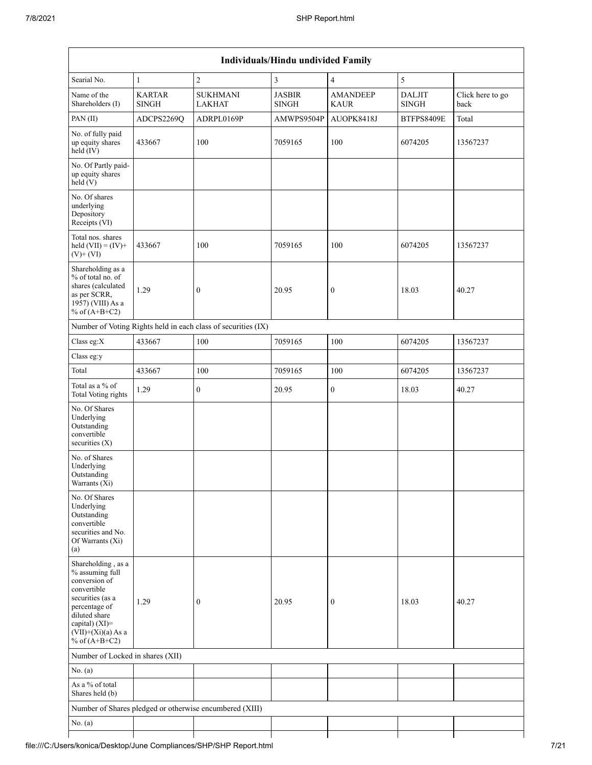| Individuals/Hindu undivided Family                                                                                                                                                          |                        |                                                               |                               |                                |                               |                          |  |  |  |  |  |
|---------------------------------------------------------------------------------------------------------------------------------------------------------------------------------------------|------------------------|---------------------------------------------------------------|-------------------------------|--------------------------------|-------------------------------|--------------------------|--|--|--|--|--|
| Searial No.                                                                                                                                                                                 | $\mathbf{1}$           | $\overline{2}$                                                | $\mathfrak{Z}$                | $\overline{4}$                 | $\sqrt{5}$                    |                          |  |  |  |  |  |
| Name of the<br>Shareholders (I)                                                                                                                                                             | <b>KARTAR</b><br>SINGH | <b>SUKHMANI</b><br><b>LAKHAT</b>                              | <b>JASBIR</b><br><b>SINGH</b> | <b>AMANDEEP</b><br><b>KAUR</b> | <b>DALJIT</b><br><b>SINGH</b> | Click here to go<br>back |  |  |  |  |  |
| PAN (II)                                                                                                                                                                                    | ADCPS2269Q             | ADRPL0169P                                                    | AMWPS9504P                    | AUOPK8418J                     | BTFPS8409E                    | Total                    |  |  |  |  |  |
| No. of fully paid<br>up equity shares<br>held (IV)                                                                                                                                          | 433667                 | 100                                                           | 7059165                       | 100                            | 6074205                       | 13567237                 |  |  |  |  |  |
| No. Of Partly paid-<br>up equity shares<br>held(V)                                                                                                                                          |                        |                                                               |                               |                                |                               |                          |  |  |  |  |  |
| No. Of shares<br>underlying<br>Depository<br>Receipts (VI)                                                                                                                                  |                        |                                                               |                               |                                |                               |                          |  |  |  |  |  |
| Total nos. shares<br>held $(VII) = (IV) +$<br>$(V)$ + $(VI)$                                                                                                                                | 433667                 | 100                                                           | 7059165                       | 100                            | 6074205                       | 13567237                 |  |  |  |  |  |
| Shareholding as a<br>% of total no. of<br>shares (calculated<br>as per SCRR,<br>1957) (VIII) As a<br>% of $(A+B+C2)$                                                                        | 1.29                   | $\boldsymbol{0}$                                              | 20.95                         | $\boldsymbol{0}$               | 18.03                         | 40.27                    |  |  |  |  |  |
|                                                                                                                                                                                             |                        | Number of Voting Rights held in each class of securities (IX) |                               |                                |                               |                          |  |  |  |  |  |
| Class eg:X                                                                                                                                                                                  | 433667                 | 100                                                           | 7059165                       | 100                            | 6074205                       | 13567237                 |  |  |  |  |  |
| Class eg:y                                                                                                                                                                                  |                        |                                                               |                               |                                |                               |                          |  |  |  |  |  |
| Total                                                                                                                                                                                       | 433667                 | 100                                                           | 7059165                       | 100                            | 6074205                       | 13567237                 |  |  |  |  |  |
| Total as a % of<br>Total Voting rights                                                                                                                                                      | 1.29                   | $\mathbf{0}$                                                  | 20.95                         | $\mathbf{0}$                   | 18.03                         | 40.27                    |  |  |  |  |  |
| No. Of Shares<br>Underlying<br>Outstanding<br>convertible<br>securities $(X)$                                                                                                               |                        |                                                               |                               |                                |                               |                          |  |  |  |  |  |
| No. of Shares<br>Underlying<br>Outstanding<br>Warrants (Xi)                                                                                                                                 |                        |                                                               |                               |                                |                               |                          |  |  |  |  |  |
| No. Of Shares<br>Underlying<br>Outstanding<br>convertible<br>securities and No.<br>Of Warrants (Xi)<br>(a)                                                                                  |                        |                                                               |                               |                                |                               |                          |  |  |  |  |  |
| Shareholding, as a<br>% assuming full<br>conversion of<br>convertible<br>securities (as a<br>percentage of<br>diluted share<br>capital) $(XI)$ =<br>$(VII)+(Xi)(a)$ As a<br>% of $(A+B+C2)$ | 1.29                   | $\mathbf{0}$                                                  | 20.95                         | $\boldsymbol{0}$               | 18.03                         | 40.27                    |  |  |  |  |  |
| Number of Locked in shares (XII)                                                                                                                                                            |                        |                                                               |                               |                                |                               |                          |  |  |  |  |  |
| No. (a)                                                                                                                                                                                     |                        |                                                               |                               |                                |                               |                          |  |  |  |  |  |
| As a % of total<br>Shares held (b)                                                                                                                                                          |                        |                                                               |                               |                                |                               |                          |  |  |  |  |  |
|                                                                                                                                                                                             |                        | Number of Shares pledged or otherwise encumbered (XIII)       |                               |                                |                               |                          |  |  |  |  |  |
| No. $(a)$                                                                                                                                                                                   |                        |                                                               |                               |                                |                               |                          |  |  |  |  |  |
|                                                                                                                                                                                             |                        |                                                               |                               |                                |                               |                          |  |  |  |  |  |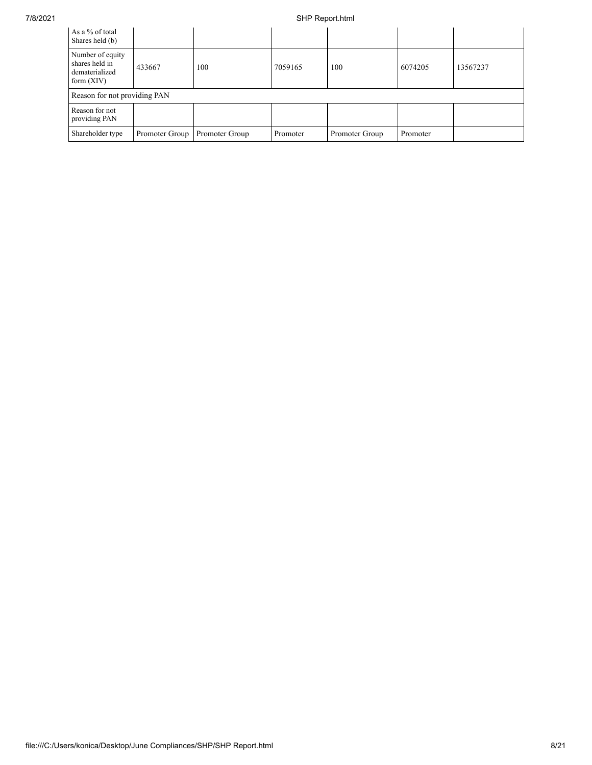| As a % of total<br>Shares held (b)                                   |                |                |          |                |          |          |
|----------------------------------------------------------------------|----------------|----------------|----------|----------------|----------|----------|
| Number of equity<br>shares held in<br>dematerialized<br>form $(XIV)$ | 433667         | 100            | 7059165  | 100            | 6074205  | 13567237 |
| Reason for not providing PAN                                         |                |                |          |                |          |          |
| Reason for not<br>providing PAN                                      |                |                |          |                |          |          |
| Shareholder type                                                     | Promoter Group | Promoter Group | Promoter | Promoter Group | Promoter |          |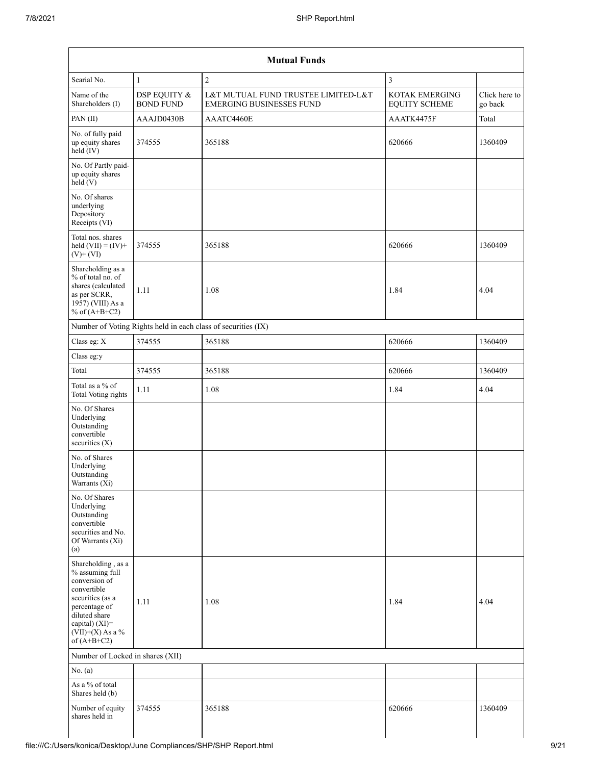| $\sqrt{2}$<br>Searial No.<br>3<br>$\mathbf{1}$<br>Name of the<br>DSP EQUITY &<br>L&T MUTUAL FUND TRUSTEE LIMITED-L&T<br>KOTAK EMERGING<br>Shareholders (I)<br><b>BOND FUND</b><br><b>EMERGING BUSINESSES FUND</b><br><b>EQUITY SCHEME</b><br>PAN (II)<br>AAAJD0430B<br>AAATC4460E<br>AAATK4475F<br>Total<br>No. of fully paid<br>365188<br>620666<br>up equity shares<br>374555<br>$held$ (IV)<br>No. Of Partly paid-<br>up equity shares<br>held(V)<br>No. Of shares<br>underlying<br>Depository<br>Receipts (VI)<br>Total nos. shares<br>held $(VII) = (IV) +$<br>365188<br>620666<br>374555<br>$(V)$ + $(VI)$<br>Shareholding as a<br>% of total no. of<br>shares (calculated<br>1.11<br>1.08<br>1.84<br>4.04<br>as per SCRR,<br>1957) (VIII) As a<br>% of $(A+B+C2)$<br>Number of Voting Rights held in each class of securities (IX)<br>365188<br>Class eg: X<br>620666<br>374555<br>Class eg:y<br>Total<br>365188<br>374555<br>620666<br>Total as a % of<br>1.11<br>1.08<br>1.84<br>4.04<br><b>Total Voting rights</b><br>No. Of Shares<br>Underlying<br>Outstanding<br>convertible<br>securities (X)<br>No. of Shares<br>Underlying<br>Outstanding<br>Warrants (Xi)<br>No. Of Shares<br>Underlying<br>Outstanding<br>convertible<br>securities and No.<br>Of Warrants (Xi)<br>(a)<br>Shareholding, as a<br>% assuming full<br>conversion of<br>convertible<br>securities (as a<br>1.08<br>1.84<br>4.04<br>1.11<br>percentage of<br>diluted share<br>capital) (XI)=<br>$(VII)+(X)$ As a %<br>of $(A+B+C2)$<br>Number of Locked in shares (XII)<br>No. $(a)$<br>As a % of total<br>Shares held (b)<br>Number of equity<br>620666<br>374555<br>365188<br>shares held in |  | <b>Mutual Funds</b> |                          |
|-----------------------------------------------------------------------------------------------------------------------------------------------------------------------------------------------------------------------------------------------------------------------------------------------------------------------------------------------------------------------------------------------------------------------------------------------------------------------------------------------------------------------------------------------------------------------------------------------------------------------------------------------------------------------------------------------------------------------------------------------------------------------------------------------------------------------------------------------------------------------------------------------------------------------------------------------------------------------------------------------------------------------------------------------------------------------------------------------------------------------------------------------------------------------------------------------------------------------------------------------------------------------------------------------------------------------------------------------------------------------------------------------------------------------------------------------------------------------------------------------------------------------------------------------------------------------------------------------------------------------------------------------------------------------------|--|---------------------|--------------------------|
|                                                                                                                                                                                                                                                                                                                                                                                                                                                                                                                                                                                                                                                                                                                                                                                                                                                                                                                                                                                                                                                                                                                                                                                                                                                                                                                                                                                                                                                                                                                                                                                                                                                                             |  |                     |                          |
|                                                                                                                                                                                                                                                                                                                                                                                                                                                                                                                                                                                                                                                                                                                                                                                                                                                                                                                                                                                                                                                                                                                                                                                                                                                                                                                                                                                                                                                                                                                                                                                                                                                                             |  |                     | Click here to<br>go back |
|                                                                                                                                                                                                                                                                                                                                                                                                                                                                                                                                                                                                                                                                                                                                                                                                                                                                                                                                                                                                                                                                                                                                                                                                                                                                                                                                                                                                                                                                                                                                                                                                                                                                             |  |                     |                          |
|                                                                                                                                                                                                                                                                                                                                                                                                                                                                                                                                                                                                                                                                                                                                                                                                                                                                                                                                                                                                                                                                                                                                                                                                                                                                                                                                                                                                                                                                                                                                                                                                                                                                             |  |                     | 1360409                  |
|                                                                                                                                                                                                                                                                                                                                                                                                                                                                                                                                                                                                                                                                                                                                                                                                                                                                                                                                                                                                                                                                                                                                                                                                                                                                                                                                                                                                                                                                                                                                                                                                                                                                             |  |                     |                          |
|                                                                                                                                                                                                                                                                                                                                                                                                                                                                                                                                                                                                                                                                                                                                                                                                                                                                                                                                                                                                                                                                                                                                                                                                                                                                                                                                                                                                                                                                                                                                                                                                                                                                             |  |                     |                          |
|                                                                                                                                                                                                                                                                                                                                                                                                                                                                                                                                                                                                                                                                                                                                                                                                                                                                                                                                                                                                                                                                                                                                                                                                                                                                                                                                                                                                                                                                                                                                                                                                                                                                             |  |                     | 1360409                  |
|                                                                                                                                                                                                                                                                                                                                                                                                                                                                                                                                                                                                                                                                                                                                                                                                                                                                                                                                                                                                                                                                                                                                                                                                                                                                                                                                                                                                                                                                                                                                                                                                                                                                             |  |                     |                          |
|                                                                                                                                                                                                                                                                                                                                                                                                                                                                                                                                                                                                                                                                                                                                                                                                                                                                                                                                                                                                                                                                                                                                                                                                                                                                                                                                                                                                                                                                                                                                                                                                                                                                             |  |                     |                          |
|                                                                                                                                                                                                                                                                                                                                                                                                                                                                                                                                                                                                                                                                                                                                                                                                                                                                                                                                                                                                                                                                                                                                                                                                                                                                                                                                                                                                                                                                                                                                                                                                                                                                             |  |                     | 1360409                  |
|                                                                                                                                                                                                                                                                                                                                                                                                                                                                                                                                                                                                                                                                                                                                                                                                                                                                                                                                                                                                                                                                                                                                                                                                                                                                                                                                                                                                                                                                                                                                                                                                                                                                             |  |                     |                          |
|                                                                                                                                                                                                                                                                                                                                                                                                                                                                                                                                                                                                                                                                                                                                                                                                                                                                                                                                                                                                                                                                                                                                                                                                                                                                                                                                                                                                                                                                                                                                                                                                                                                                             |  |                     | 1360409                  |
|                                                                                                                                                                                                                                                                                                                                                                                                                                                                                                                                                                                                                                                                                                                                                                                                                                                                                                                                                                                                                                                                                                                                                                                                                                                                                                                                                                                                                                                                                                                                                                                                                                                                             |  |                     |                          |
|                                                                                                                                                                                                                                                                                                                                                                                                                                                                                                                                                                                                                                                                                                                                                                                                                                                                                                                                                                                                                                                                                                                                                                                                                                                                                                                                                                                                                                                                                                                                                                                                                                                                             |  |                     |                          |
|                                                                                                                                                                                                                                                                                                                                                                                                                                                                                                                                                                                                                                                                                                                                                                                                                                                                                                                                                                                                                                                                                                                                                                                                                                                                                                                                                                                                                                                                                                                                                                                                                                                                             |  |                     |                          |
|                                                                                                                                                                                                                                                                                                                                                                                                                                                                                                                                                                                                                                                                                                                                                                                                                                                                                                                                                                                                                                                                                                                                                                                                                                                                                                                                                                                                                                                                                                                                                                                                                                                                             |  |                     |                          |
|                                                                                                                                                                                                                                                                                                                                                                                                                                                                                                                                                                                                                                                                                                                                                                                                                                                                                                                                                                                                                                                                                                                                                                                                                                                                                                                                                                                                                                                                                                                                                                                                                                                                             |  |                     |                          |
|                                                                                                                                                                                                                                                                                                                                                                                                                                                                                                                                                                                                                                                                                                                                                                                                                                                                                                                                                                                                                                                                                                                                                                                                                                                                                                                                                                                                                                                                                                                                                                                                                                                                             |  |                     |                          |
|                                                                                                                                                                                                                                                                                                                                                                                                                                                                                                                                                                                                                                                                                                                                                                                                                                                                                                                                                                                                                                                                                                                                                                                                                                                                                                                                                                                                                                                                                                                                                                                                                                                                             |  |                     |                          |
|                                                                                                                                                                                                                                                                                                                                                                                                                                                                                                                                                                                                                                                                                                                                                                                                                                                                                                                                                                                                                                                                                                                                                                                                                                                                                                                                                                                                                                                                                                                                                                                                                                                                             |  |                     |                          |
|                                                                                                                                                                                                                                                                                                                                                                                                                                                                                                                                                                                                                                                                                                                                                                                                                                                                                                                                                                                                                                                                                                                                                                                                                                                                                                                                                                                                                                                                                                                                                                                                                                                                             |  |                     | 1360409                  |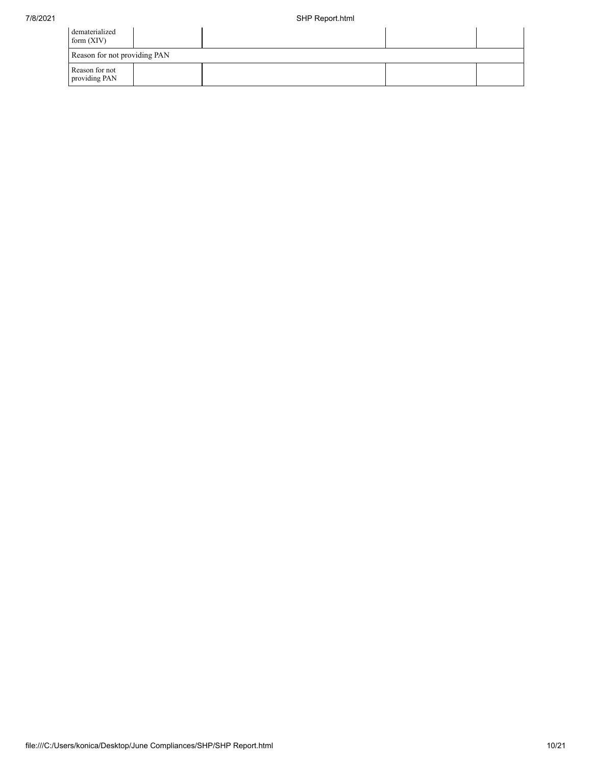| dematerialized<br>form $(XIV)$  |  |  |
|---------------------------------|--|--|
| Reason for not providing PAN    |  |  |
| Reason for not<br>providing PAN |  |  |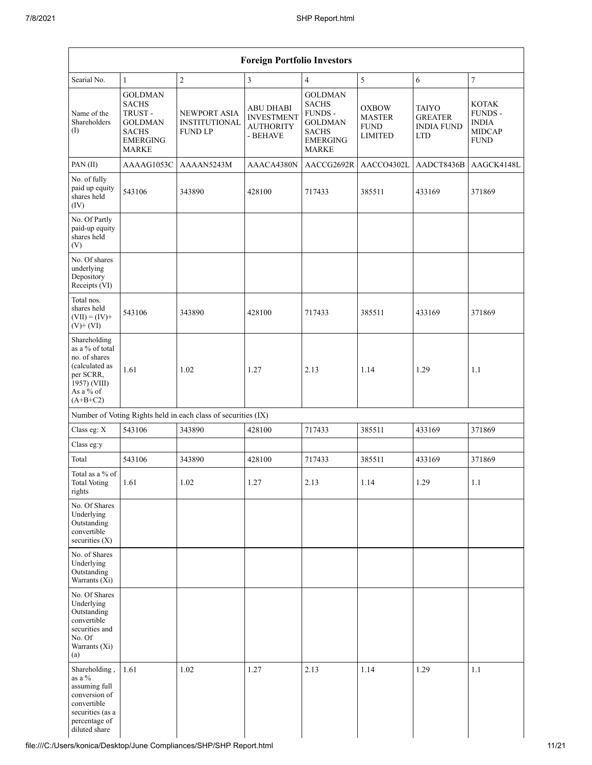| <b>Foreign Portfolio Investors</b>                                                                                                |                                                                                                        |                                                               |                                                                       |                                                                                                         |                                                         |                                                            |                                                                         |  |  |  |  |
|-----------------------------------------------------------------------------------------------------------------------------------|--------------------------------------------------------------------------------------------------------|---------------------------------------------------------------|-----------------------------------------------------------------------|---------------------------------------------------------------------------------------------------------|---------------------------------------------------------|------------------------------------------------------------|-------------------------------------------------------------------------|--|--|--|--|
| Searial No.                                                                                                                       | $\mathbf{1}$                                                                                           | $\overline{c}$                                                | $\mathfrak{Z}$                                                        | $\overline{4}$                                                                                          | 5                                                       | $\sqrt{6}$                                                 | $\boldsymbol{7}$                                                        |  |  |  |  |
| Name of the<br>Shareholders<br>(I)                                                                                                | <b>GOLDMAN</b><br><b>SACHS</b><br>TRUST-<br><b>GOLDMAN</b><br><b>SACHS</b><br><b>EMERGING</b><br>MARKE | <b>NEWPORT ASIA</b><br><b>INSTITUTIONAL</b><br><b>FUND LP</b> | <b>ABU DHABI</b><br><b>INVESTMENT</b><br><b>AUTHORITY</b><br>- BEHAVE | <b>GOLDMAN</b><br><b>SACHS</b><br>FUNDS -<br><b>GOLDMAN</b><br><b>SACHS</b><br><b>EMERGING</b><br>MARKE | <b>OXBOW</b><br>MASTER<br><b>FUND</b><br><b>LIMITED</b> | TAIYO<br><b>GREATER</b><br><b>INDIA FUND</b><br><b>LTD</b> | <b>KOTAK</b><br>FUNDS -<br><b>INDIA</b><br><b>MIDCAP</b><br><b>FUND</b> |  |  |  |  |
| PAN(II)                                                                                                                           | AAAAG1053C                                                                                             | AAAAN5243M                                                    | AAACA4380N                                                            | AACCG2692R                                                                                              | AACCO4302L                                              | AADCT8436B                                                 | AAGCK4148L                                                              |  |  |  |  |
| No. of fully<br>paid up equity<br>shares held<br>(IV)                                                                             | 543106                                                                                                 | 343890                                                        | 428100                                                                | 717433                                                                                                  | 385511                                                  | 433169                                                     | 371869                                                                  |  |  |  |  |
| No. Of Partly<br>paid-up equity<br>shares held<br>(V)                                                                             |                                                                                                        |                                                               |                                                                       |                                                                                                         |                                                         |                                                            |                                                                         |  |  |  |  |
| No. Of shares<br>underlying<br>Depository<br>Receipts (VI)                                                                        |                                                                                                        |                                                               |                                                                       |                                                                                                         |                                                         |                                                            |                                                                         |  |  |  |  |
| Total nos.<br>shares held<br>$(VII) = (IV) +$<br>$(V)$ + $(VI)$                                                                   | 543106                                                                                                 | 343890                                                        | 428100                                                                | 717433                                                                                                  | 385511                                                  | 433169                                                     | 371869                                                                  |  |  |  |  |
| Shareholding<br>as a % of total<br>no. of shares<br>(calculated as<br>per SCRR,<br>1957) (VIII)<br>As a $\%$ of<br>$(A+B+C2)$     | 1.61                                                                                                   | 1.02                                                          | 1.27                                                                  | 2.13                                                                                                    | 1.14                                                    | 1.29                                                       | 1.1                                                                     |  |  |  |  |
|                                                                                                                                   |                                                                                                        | Number of Voting Rights held in each class of securities (IX) |                                                                       |                                                                                                         |                                                         |                                                            |                                                                         |  |  |  |  |
| Class eg: X                                                                                                                       | 543106                                                                                                 | 343890                                                        | 428100                                                                | 717433                                                                                                  | 385511                                                  | 433169                                                     | 371869                                                                  |  |  |  |  |
| Class eg:y                                                                                                                        |                                                                                                        |                                                               |                                                                       |                                                                                                         |                                                         |                                                            |                                                                         |  |  |  |  |
| Total                                                                                                                             | 543106                                                                                                 | 343890                                                        | 428100                                                                | 717433                                                                                                  | 385511                                                  | 433169                                                     | 371869                                                                  |  |  |  |  |
| Total as a % of<br><b>Total Voting</b><br>rights                                                                                  | 1.61                                                                                                   | 1.02                                                          | 1.27                                                                  | 2.13                                                                                                    | 1.14                                                    | 1.29                                                       | $1.1\,$                                                                 |  |  |  |  |
| No. Of Shares<br>Underlying<br>Outstanding<br>convertible<br>securities $(X)$                                                     |                                                                                                        |                                                               |                                                                       |                                                                                                         |                                                         |                                                            |                                                                         |  |  |  |  |
| No. of Shares<br>Underlying<br>Outstanding<br>Warrants (Xi)                                                                       |                                                                                                        |                                                               |                                                                       |                                                                                                         |                                                         |                                                            |                                                                         |  |  |  |  |
| No. Of Shares<br>Underlying<br>Outstanding<br>convertible<br>securities and<br>No. Of<br>Warrants (Xi)<br>(a)                     |                                                                                                        |                                                               |                                                                       |                                                                                                         |                                                         |                                                            |                                                                         |  |  |  |  |
| Shareholding,<br>as a $\%$<br>assuming full<br>conversion of<br>convertible<br>securities (as a<br>percentage of<br>diluted share | 1.61                                                                                                   | 1.02                                                          | 1.27                                                                  | 2.13                                                                                                    | 1.14                                                    | 1.29                                                       | 1.1                                                                     |  |  |  |  |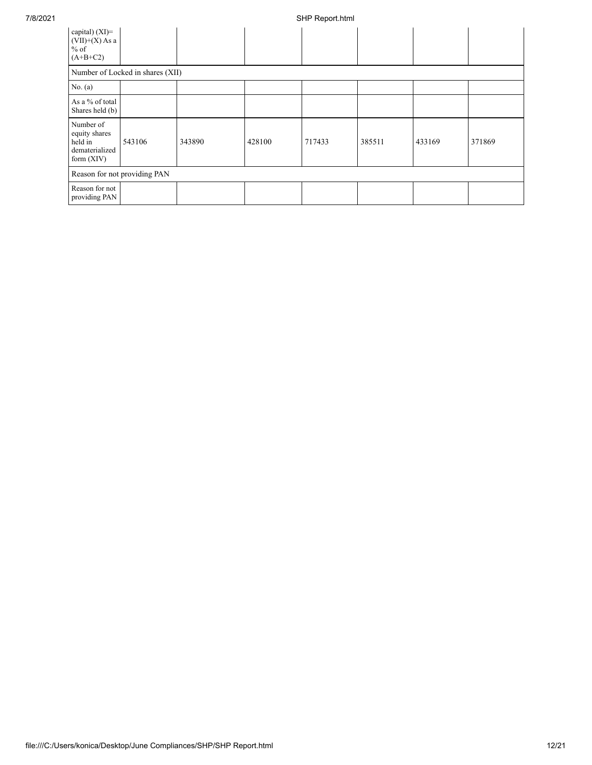| capital) (XI)=<br>$(VII)+(X)$ As a<br>$\frac{6}{6}$ of<br>$(A+B+C2)$    |                                  |        |        |        |        |        |        |
|-------------------------------------------------------------------------|----------------------------------|--------|--------|--------|--------|--------|--------|
|                                                                         | Number of Locked in shares (XII) |        |        |        |        |        |        |
| No. (a)                                                                 |                                  |        |        |        |        |        |        |
| As a % of total<br>Shares held (b)                                      |                                  |        |        |        |        |        |        |
| Number of<br>equity shares<br>held in<br>dematerialized<br>form $(XIV)$ | 543106                           | 343890 | 428100 | 717433 | 385511 | 433169 | 371869 |
|                                                                         | Reason for not providing PAN     |        |        |        |        |        |        |
| Reason for not<br>providing PAN                                         |                                  |        |        |        |        |        |        |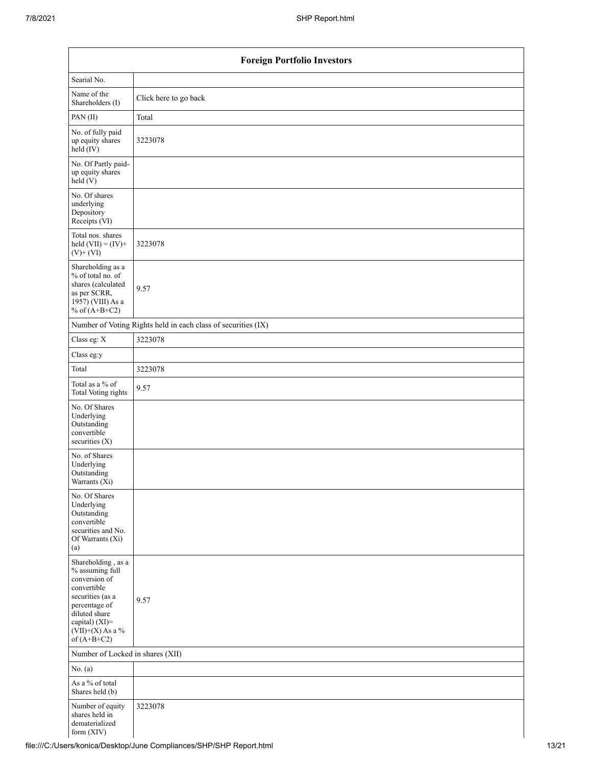| <b>Foreign Portfolio Investors</b>                                                                                                                                                    |                                                               |  |  |  |  |  |
|---------------------------------------------------------------------------------------------------------------------------------------------------------------------------------------|---------------------------------------------------------------|--|--|--|--|--|
| Searial No.                                                                                                                                                                           |                                                               |  |  |  |  |  |
| Name of the<br>Shareholders (I)                                                                                                                                                       | Click here to go back                                         |  |  |  |  |  |
| PAN(II)                                                                                                                                                                               | Total                                                         |  |  |  |  |  |
| No. of fully paid<br>up equity shares<br>$\text{held} (IV)$                                                                                                                           | 3223078                                                       |  |  |  |  |  |
| No. Of Partly paid-<br>up equity shares<br>held(V)                                                                                                                                    |                                                               |  |  |  |  |  |
| No. Of shares<br>underlying<br>Depository<br>Receipts (VI)                                                                                                                            |                                                               |  |  |  |  |  |
| Total nos. shares<br>held $(VII) = (IV) +$<br>$(V)$ + $(VI)$                                                                                                                          | 3223078                                                       |  |  |  |  |  |
| Shareholding as a<br>% of total no. of<br>shares (calculated<br>as per SCRR,<br>1957) (VIII) As a<br>% of $(A+B+C2)$                                                                  | 9.57                                                          |  |  |  |  |  |
|                                                                                                                                                                                       | Number of Voting Rights held in each class of securities (IX) |  |  |  |  |  |
| Class eg: X                                                                                                                                                                           | 3223078                                                       |  |  |  |  |  |
| Class eg:y                                                                                                                                                                            |                                                               |  |  |  |  |  |
| Total                                                                                                                                                                                 | 3223078                                                       |  |  |  |  |  |
| Total as a % of<br>Total Voting rights                                                                                                                                                | 9.57                                                          |  |  |  |  |  |
| No. Of Shares<br>Underlying<br>Outstanding<br>convertible<br>securities (X)                                                                                                           |                                                               |  |  |  |  |  |
| No. of Shares<br>Underlying<br>Outstanding<br>Warrants (Xi)                                                                                                                           |                                                               |  |  |  |  |  |
| No. Of Shares<br>Underlying<br>Outstanding<br>convertible<br>securities and No.<br>Of Warrants (Xi)<br>(a)                                                                            |                                                               |  |  |  |  |  |
| Shareholding , as a<br>% assuming full<br>conversion of<br>convertible<br>securities (as a<br>percentage of<br>diluted share<br>capital) (XI)=<br>$(VII)+(X)$ As a %<br>of $(A+B+C2)$ | 9.57                                                          |  |  |  |  |  |
| Number of Locked in shares (XII)                                                                                                                                                      |                                                               |  |  |  |  |  |
| No. $(a)$                                                                                                                                                                             |                                                               |  |  |  |  |  |
| As a % of total<br>Shares held (b)                                                                                                                                                    |                                                               |  |  |  |  |  |
| Number of equity<br>shares held in<br>dematerialized<br>form (XIV)                                                                                                                    | 3223078                                                       |  |  |  |  |  |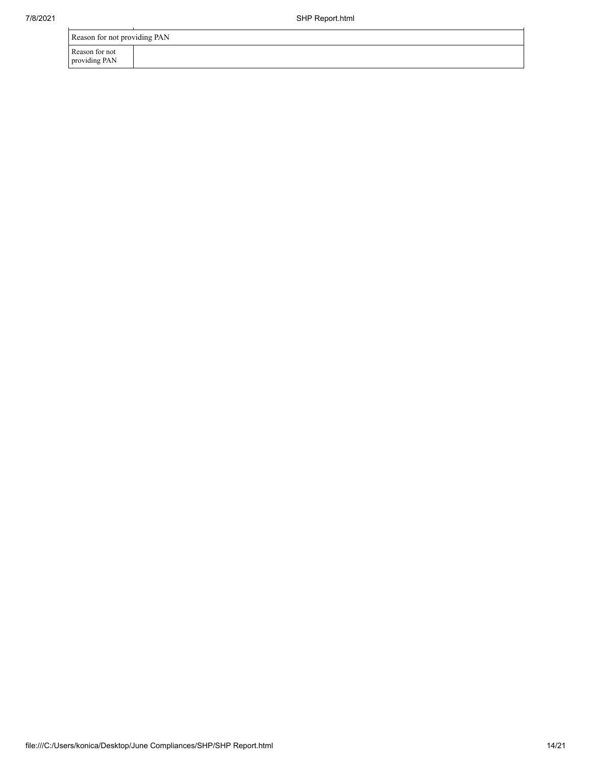| 7/8/2021 | SHP Report.html                 |  |  |  |  |
|----------|---------------------------------|--|--|--|--|
|          | Reason for not providing PAN    |  |  |  |  |
|          | Reason for not<br>providing PAN |  |  |  |  |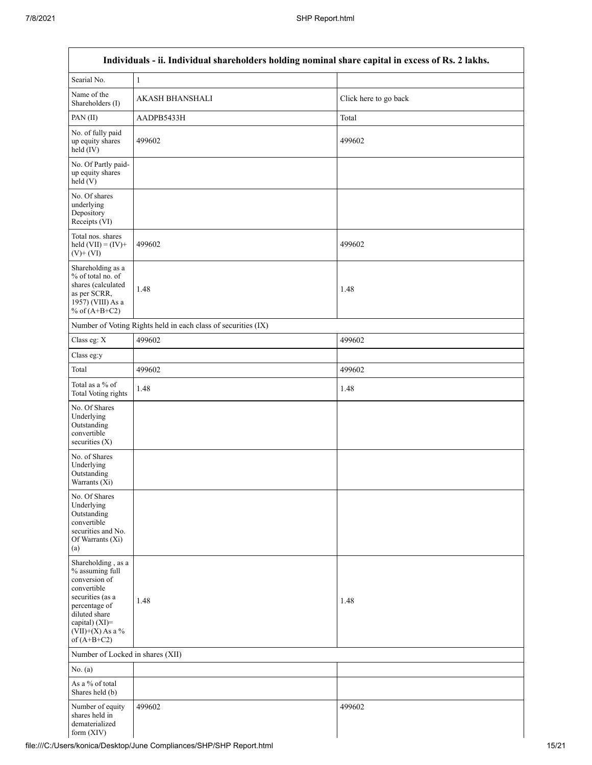| Individuals - ii. Individual shareholders holding nominal share capital in excess of Rs. 2 lakhs.                                                                                    |                                                               |                       |  |  |  |  |
|--------------------------------------------------------------------------------------------------------------------------------------------------------------------------------------|---------------------------------------------------------------|-----------------------|--|--|--|--|
| Searial No.                                                                                                                                                                          | 1                                                             |                       |  |  |  |  |
| Name of the<br>Shareholders (I)                                                                                                                                                      | <b>AKASH BHANSHALI</b>                                        | Click here to go back |  |  |  |  |
| PAN(II)                                                                                                                                                                              | AADPB5433H                                                    | Total                 |  |  |  |  |
| No. of fully paid<br>up equity shares<br>held (IV)                                                                                                                                   | 499602                                                        | 499602                |  |  |  |  |
| No. Of Partly paid-<br>up equity shares<br>held (V)                                                                                                                                  |                                                               |                       |  |  |  |  |
| No. Of shares<br>underlying<br>Depository<br>Receipts (VI)                                                                                                                           |                                                               |                       |  |  |  |  |
| Total nos. shares<br>held $(VII) = (IV) +$<br>$(V)$ + $(VI)$                                                                                                                         | 499602                                                        | 499602                |  |  |  |  |
| Shareholding as a<br>% of total no. of<br>shares (calculated<br>as per SCRR,<br>1957) (VIII) As a<br>% of $(A+B+C2)$                                                                 | 1.48                                                          | 1.48                  |  |  |  |  |
|                                                                                                                                                                                      | Number of Voting Rights held in each class of securities (IX) |                       |  |  |  |  |
| Class eg: X                                                                                                                                                                          | 499602                                                        | 499602                |  |  |  |  |
| Class eg:y                                                                                                                                                                           |                                                               |                       |  |  |  |  |
| Total                                                                                                                                                                                | 499602                                                        | 499602                |  |  |  |  |
| Total as a $\%$ of<br>Total Voting rights                                                                                                                                            | 1.48                                                          | 1.48                  |  |  |  |  |
| No. Of Shares<br>Underlying<br>Outstanding<br>convertible<br>securities $(X)$                                                                                                        |                                                               |                       |  |  |  |  |
| No. of Shares<br>Underlying<br>Outstanding<br>Warrants (Xi)                                                                                                                          |                                                               |                       |  |  |  |  |
| No. Of Shares<br>Underlying<br>Outstanding<br>convertible<br>securities and No.<br>Of Warrants (Xi)<br>(a)                                                                           |                                                               |                       |  |  |  |  |
| Shareholding, as a<br>% assuming full<br>conversion of<br>convertible<br>securities (as a<br>percentage of<br>diluted share<br>capital) (XI)=<br>$(VII)+(X)$ As a %<br>of $(A+B+C2)$ | 1.48                                                          | 1.48                  |  |  |  |  |
| Number of Locked in shares (XII)                                                                                                                                                     |                                                               |                       |  |  |  |  |
| No. (a)                                                                                                                                                                              |                                                               |                       |  |  |  |  |
| As a % of total<br>Shares held (b)                                                                                                                                                   |                                                               |                       |  |  |  |  |
| Number of equity<br>shares held in<br>dematerialized<br>form $(XIV)$                                                                                                                 | 499602                                                        | 499602                |  |  |  |  |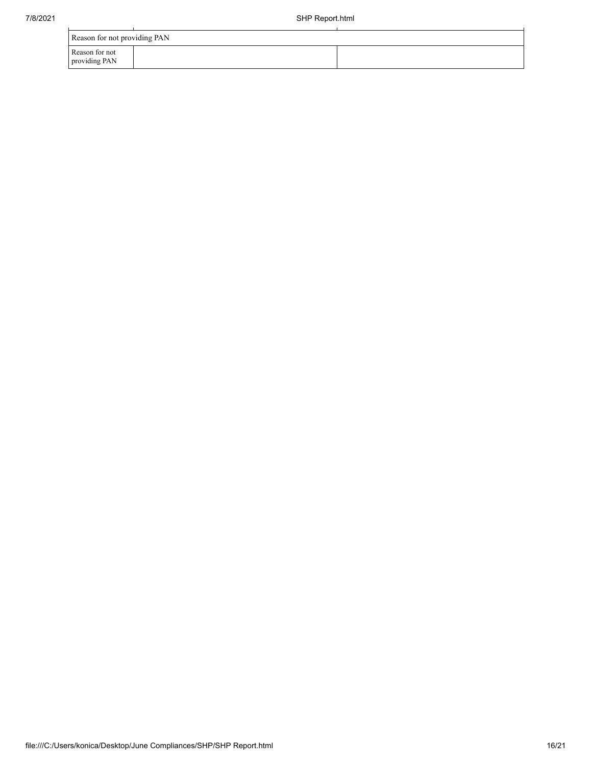| 7/8/2021 | SHP Report.html                 |  |  |  |  |
|----------|---------------------------------|--|--|--|--|
|          | Reason for not providing PAN    |  |  |  |  |
|          | Reason for not<br>providing PAN |  |  |  |  |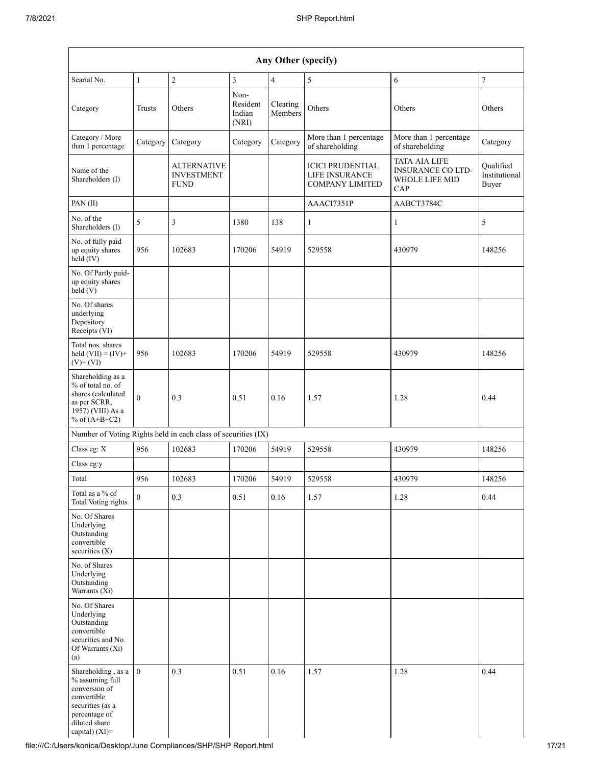| Any Other (specify)                                                                                                                              |                |                                                 |                                     |                     |                                                                     |                                                                           |                                     |
|--------------------------------------------------------------------------------------------------------------------------------------------------|----------------|-------------------------------------------------|-------------------------------------|---------------------|---------------------------------------------------------------------|---------------------------------------------------------------------------|-------------------------------------|
| Searial No.                                                                                                                                      | $\mathbf{1}$   | $\overline{c}$                                  | 3                                   | 4                   | 5                                                                   | 6                                                                         | $\boldsymbol{7}$                    |
| Category                                                                                                                                         | Trusts         | Others                                          | Non-<br>Resident<br>Indian<br>(NRI) | Clearing<br>Members | Others                                                              | Others                                                                    | Others                              |
| Category / More<br>than 1 percentage                                                                                                             | Category       | Category                                        | Category                            | Category            | More than 1 percentage<br>of shareholding                           | More than 1 percentage<br>of shareholding                                 | Category                            |
| Name of the<br>Shareholders (I)                                                                                                                  |                | ALTERNATIVE<br><b>INVESTMENT</b><br><b>FUND</b> |                                     |                     | <b>ICICI PRUDENTIAL</b><br>LIFE INSURANCE<br><b>COMPANY LIMITED</b> | <b>TATA AIA LIFE</b><br><b>INSURANCE CO LTD-</b><br>WHOLE LIFE MID<br>CAP | Qualified<br>Institutional<br>Buyer |
| PAN(II)                                                                                                                                          |                |                                                 |                                     |                     | AAACI7351P                                                          | AABCT3784C                                                                |                                     |
| No. of the<br>Shareholders (I)                                                                                                                   | 5              | 3                                               | 1380                                | 138                 | $\mathbf{1}$                                                        | $\mathbf{1}$                                                              | 5                                   |
| No. of fully paid<br>up equity shares<br>held (IV)                                                                                               | 956            | 102683                                          | 170206                              | 54919               | 529558                                                              | 430979                                                                    | 148256                              |
| No. Of Partly paid-<br>up equity shares<br>held (V)                                                                                              |                |                                                 |                                     |                     |                                                                     |                                                                           |                                     |
| No. Of shares<br>underlying<br>Depository<br>Receipts (VI)                                                                                       |                |                                                 |                                     |                     |                                                                     |                                                                           |                                     |
| Total nos. shares<br>held $(VII) = (IV) +$<br>$(V)$ + $(VI)$                                                                                     | 956            | 102683                                          | 170206                              | 54919               | 529558                                                              | 430979                                                                    | 148256                              |
| Shareholding as a<br>% of total no. of<br>shares (calculated<br>as per SCRR,<br>$19\bar{5}7$ ) (VIII) As a<br>% of $(A+B+C2)$                    | $\theta$       | 0.3                                             | 0.51                                | 0.16                | 1.57                                                                | 1.28                                                                      | 0.44                                |
| Number of Voting Rights held in each class of securities (IX)                                                                                    |                |                                                 |                                     |                     |                                                                     |                                                                           |                                     |
| Class eg: X                                                                                                                                      | 956            | 102683                                          | 170206                              | 54919               | 529558                                                              | 430979                                                                    | 148256                              |
| Class eg:y                                                                                                                                       |                |                                                 |                                     |                     |                                                                     |                                                                           |                                     |
| Total                                                                                                                                            | 956            | 102683                                          | 170206                              | 54919               | 529558                                                              | 430979                                                                    | 148256                              |
| Total as a % of<br>Total Voting rights                                                                                                           | $\theta$       | 0.3                                             | 0.51                                | 0.16                | 1.57                                                                | 1.28                                                                      | 0.44                                |
| No. Of Shares<br>Underlying<br>Outstanding<br>convertible<br>securities $(X)$                                                                    |                |                                                 |                                     |                     |                                                                     |                                                                           |                                     |
| No. of Shares<br>Underlying<br>Outstanding<br>Warrants (Xi)                                                                                      |                |                                                 |                                     |                     |                                                                     |                                                                           |                                     |
| No. Of Shares<br>Underlying<br>Outstanding<br>convertible<br>securities and No.<br>Of Warrants (Xi)<br>(a)                                       |                |                                                 |                                     |                     |                                                                     |                                                                           |                                     |
| Shareholding, as a<br>% assuming full<br>conversion of<br>convertible<br>securities (as a<br>percentage of<br>diluted share<br>capital) $(XI)$ = | $\overline{0}$ | 0.3                                             | 0.51                                | 0.16                | 1.57                                                                | 1.28                                                                      | 0.44                                |

file:///C:/Users/konica/Desktop/June Compliances/SHP/SHP Report.html 17/21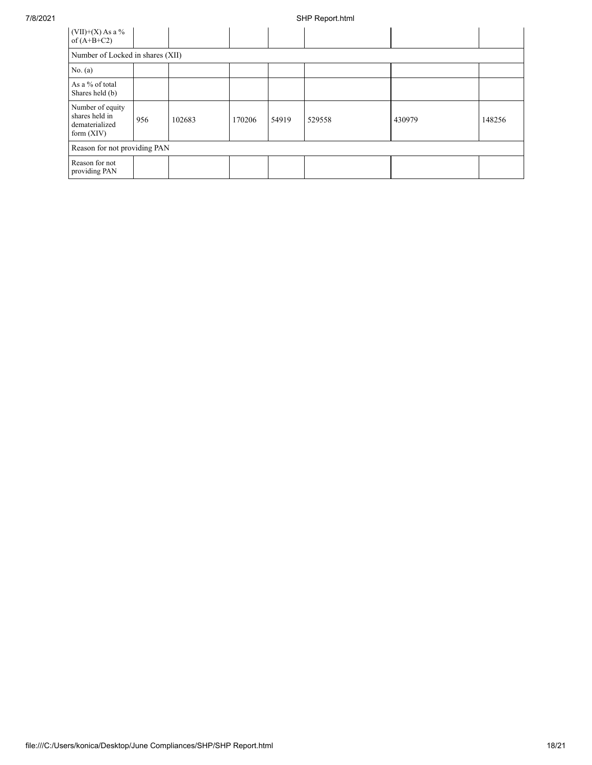| $(VII)+(X)$ As a %<br>of $(A+B+C2)$                                  |                                  |        |        |       |        |        |        |  |
|----------------------------------------------------------------------|----------------------------------|--------|--------|-------|--------|--------|--------|--|
|                                                                      | Number of Locked in shares (XII) |        |        |       |        |        |        |  |
| No. $(a)$                                                            |                                  |        |        |       |        |        |        |  |
| As a % of total<br>Shares held (b)                                   |                                  |        |        |       |        |        |        |  |
| Number of equity<br>shares held in<br>dematerialized<br>form $(XIV)$ | 956                              | 102683 | 170206 | 54919 | 529558 | 430979 | 148256 |  |
| Reason for not providing PAN                                         |                                  |        |        |       |        |        |        |  |
| Reason for not<br>providing PAN                                      |                                  |        |        |       |        |        |        |  |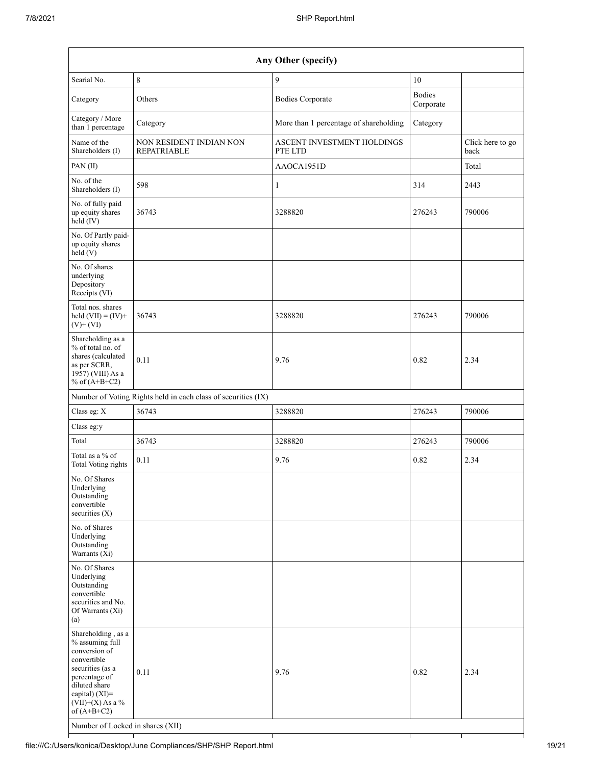| Searial No.                                                                                                                                                                                                              | 8                                                             |                                        |                            |                          |
|--------------------------------------------------------------------------------------------------------------------------------------------------------------------------------------------------------------------------|---------------------------------------------------------------|----------------------------------------|----------------------------|--------------------------|
|                                                                                                                                                                                                                          |                                                               | 9                                      | 10                         |                          |
| Category                                                                                                                                                                                                                 | Others                                                        | <b>Bodies Corporate</b>                | <b>Bodies</b><br>Corporate |                          |
| Category / More<br>than 1 percentage                                                                                                                                                                                     | Category                                                      | More than 1 percentage of shareholding | Category                   |                          |
| Name of the<br>Shareholders (I)                                                                                                                                                                                          | NON RESIDENT INDIAN NON<br><b>REPATRIABLE</b>                 | ASCENT INVESTMENT HOLDINGS<br>PTE LTD  |                            | Click here to go<br>back |
| PAN (II)                                                                                                                                                                                                                 |                                                               | AAOCA1951D                             |                            | Total                    |
| No. of the<br>Shareholders (I)                                                                                                                                                                                           | 598                                                           | $\mathbf{1}$                           | 314                        | 2443                     |
| No. of fully paid<br>up equity shares<br>held (IV)                                                                                                                                                                       | 36743                                                         | 3288820                                | 276243                     | 790006                   |
| No. Of Partly paid-<br>up equity shares<br>held(V)                                                                                                                                                                       |                                                               |                                        |                            |                          |
| No. Of shares<br>underlying<br>Depository<br>Receipts (VI)                                                                                                                                                               |                                                               |                                        |                            |                          |
| Total nos. shares<br>held $(VII) = (IV) +$<br>$(V)$ + $(VI)$                                                                                                                                                             | 36743                                                         | 3288820                                | 276243                     | 790006                   |
| Shareholding as a<br>% of total no. of<br>shares (calculated<br>as per SCRR,<br>1957) (VIII) As a<br>% of $(A+B+C2)$                                                                                                     | 0.11                                                          | 9.76                                   | 0.82                       | 2.34                     |
|                                                                                                                                                                                                                          | Number of Voting Rights held in each class of securities (IX) |                                        |                            |                          |
| Class eg: X                                                                                                                                                                                                              | 36743                                                         | 3288820                                | 276243                     | 790006                   |
| Class eg:y                                                                                                                                                                                                               |                                                               |                                        |                            |                          |
| Total                                                                                                                                                                                                                    | 36743                                                         | 3288820                                | 276243                     | 790006                   |
| Total as a % of<br><b>Total Voting rights</b>                                                                                                                                                                            | 0.11                                                          | 9.76                                   | 0.82                       | 2.34                     |
| No. Of Shares<br>Underlying<br>Outstanding<br>convertible<br>securities $(X)$                                                                                                                                            |                                                               |                                        |                            |                          |
| No. of Shares<br>Underlying<br>Outstanding<br>Warrants (Xi)                                                                                                                                                              |                                                               |                                        |                            |                          |
| No. Of Shares<br>Underlying<br>Outstanding<br>convertible<br>securities and No.<br>Of Warrants (Xi)<br>(a)                                                                                                               |                                                               |                                        |                            |                          |
| Shareholding, as a<br>% assuming full<br>conversion of<br>convertible<br>securities (as a<br>percentage of<br>diluted share<br>capital) (XI)=<br>$(VII)+(X)$ As a %<br>of $(A+B+C2)$<br>Number of Locked in shares (XII) | 0.11                                                          | 9.76                                   | 0.82                       | 2.34                     |

٦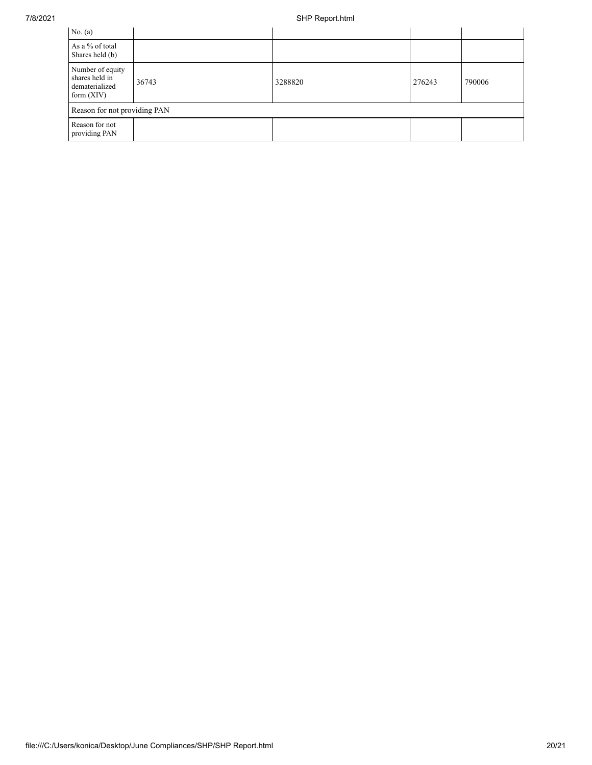| No. (a)                                                              |       |         |        |        |
|----------------------------------------------------------------------|-------|---------|--------|--------|
| As a % of total<br>Shares held (b)                                   |       |         |        |        |
| Number of equity<br>shares held in<br>dematerialized<br>form $(XIV)$ | 36743 | 3288820 | 276243 | 790006 |
| Reason for not providing PAN                                         |       |         |        |        |
| Reason for not<br>providing PAN                                      |       |         |        |        |